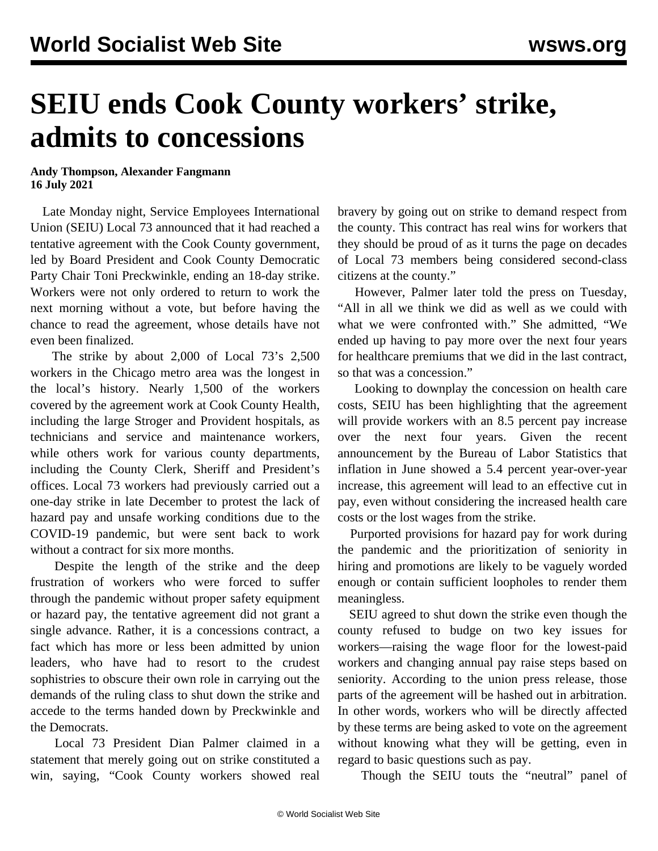## **SEIU ends Cook County workers' strike, admits to concessions**

## **Andy Thompson, Alexander Fangmann 16 July 2021**

 Late Monday night, Service Employees International Union (SEIU) Local 73 announced that it had reached a tentative agreement with the Cook County government, led by Board President and Cook County Democratic Party Chair Toni Preckwinkle, ending an 18-day strike. Workers were not only ordered to return to work the next morning without a vote, but before having the chance to read the agreement, whose details have not even been finalized.

 The strike by about 2,000 of Local 73's 2,500 workers in the Chicago metro area was the longest in the local's history. Nearly 1,500 of the workers covered by the agreement work at Cook County Health, including the large Stroger and Provident hospitals, as technicians and service and maintenance workers, while others work for various county departments, including the County Clerk, Sheriff and President's offices. Local 73 workers had previously carried out a one-day strike in late December to protest the lack of hazard pay and unsafe working conditions due to the COVID-19 pandemic, but were sent back to work without a contract for six more months.

 Despite the length of the strike and the deep frustration of workers who were forced to suffer through the pandemic without proper safety equipment or hazard pay, the tentative agreement did not grant a single advance. Rather, it is a concessions contract, a fact which has more or less been admitted by union leaders, who have had to resort to the crudest sophistries to obscure their own role in carrying out the demands of the ruling class to shut down the strike and accede to the terms handed down by Preckwinkle and the Democrats.

 Local 73 President Dian Palmer claimed in a statement that merely going out on strike constituted a win, saying, "Cook County workers showed real bravery by going out on strike to demand respect from the county. This contract has real wins for workers that they should be proud of as it turns the page on decades of Local 73 members being considered second-class citizens at the county."

 However, Palmer later told the press on Tuesday, "All in all we think we did as well as we could with what we were confronted with." She admitted, "We ended up having to pay more over the next four years for healthcare premiums that we did in the last contract, so that was a concession."

 Looking to downplay the concession on health care costs, SEIU has been highlighting that the agreement will provide workers with an 8.5 percent pay increase over the next four years. Given the [recent](/en/articles/2021/07/14/infl-j14.html) [announcement](/en/articles/2021/07/14/infl-j14.html) by the Bureau of Labor Statistics that inflation in June showed a 5.4 percent year-over-year increase, this agreement will lead to an effective cut in pay, even without considering the increased health care costs or the lost wages from the strike.

 Purported provisions for hazard pay for work during the pandemic and the prioritization of seniority in hiring and promotions are likely to be vaguely worded enough or contain sufficient loopholes to render them meaningless.

 SEIU agreed to shut down the strike even though the county refused to budge on two key issues for workers—raising the wage floor for the lowest-paid workers and changing annual pay raise steps based on seniority. According to the union press release, those parts of the agreement will be hashed out in arbitration. In other words, workers who will be directly affected by these terms are being asked to vote on the agreement without knowing what they will be getting, even in regard to basic questions such as pay.

Though the SEIU touts the "neutral" panel of